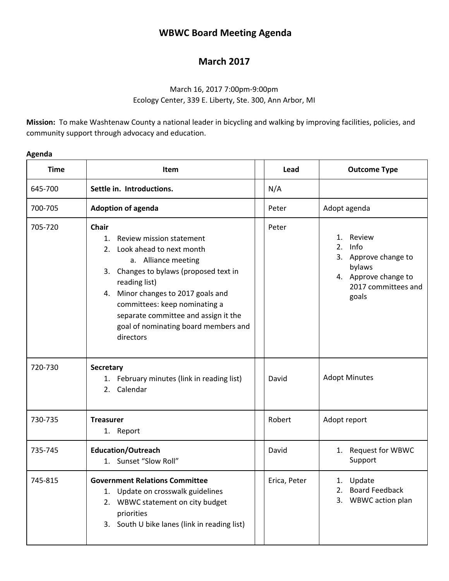# **WBWC Board Meeting Agenda**

# **March 2017**

### March 16, 2017 7:00pm-9:00pm Ecology Center, 339 E. Liberty, Ste. 300, Ann Arbor, MI

**Mission:** To make Washtenaw County a national leader in bicycling and walking by improving facilities, policies, and community support through advocacy and education.

| <b>Time</b> | Item                                                                                                                                                                                                                                                                                                                               |  | Lead         | <b>Outcome Type</b>                                                                                                  |  |
|-------------|------------------------------------------------------------------------------------------------------------------------------------------------------------------------------------------------------------------------------------------------------------------------------------------------------------------------------------|--|--------------|----------------------------------------------------------------------------------------------------------------------|--|
| 645-700     | Settle in. Introductions.                                                                                                                                                                                                                                                                                                          |  | N/A          |                                                                                                                      |  |
| 700-705     | <b>Adoption of agenda</b>                                                                                                                                                                                                                                                                                                          |  | Peter        | Adopt agenda                                                                                                         |  |
| 705-720     | Chair<br>Review mission statement<br>1.<br>Look ahead to next month<br>2.<br>a. Alliance meeting<br>3. Changes to bylaws (proposed text in<br>reading list)<br>Minor changes to 2017 goals and<br>4.<br>committees: keep nominating a<br>separate committee and assign it the<br>goal of nominating board members and<br>directors |  | Peter        | Review<br>1.<br>2.<br>Info<br>3. Approve change to<br>bylaws<br>4. Approve change to<br>2017 committees and<br>goals |  |
| 720-730     | <b>Secretary</b><br>1. February minutes (link in reading list)<br>2. Calendar                                                                                                                                                                                                                                                      |  | David        | <b>Adopt Minutes</b>                                                                                                 |  |
| 730-735     | <b>Treasurer</b><br>1. Report                                                                                                                                                                                                                                                                                                      |  | Robert       | Adopt report                                                                                                         |  |
| 735-745     | <b>Education/Outreach</b><br>1. Sunset "Slow Roll"                                                                                                                                                                                                                                                                                 |  | David        | 1. Request for WBWC<br>Support                                                                                       |  |
| 745-815     | <b>Government Relations Committee</b><br>1. Update on crosswalk guidelines<br>2. WBWC statement on city budget<br>priorities<br>South U bike lanes (link in reading list)<br>3.                                                                                                                                                    |  | Erica, Peter | 1. Update<br><b>Board Feedback</b><br>2.<br>3.<br>WBWC action plan                                                   |  |

## **Agenda**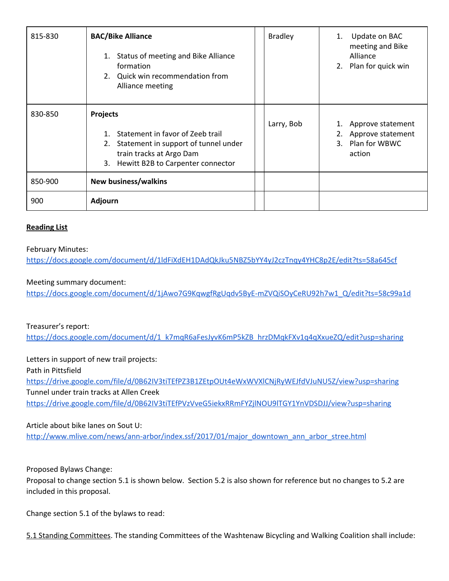| 815-830 | <b>BAC/Bike Alliance</b><br>Status of meeting and Bike Alliance<br>1.<br>formation<br>2. Quick win recommendation from<br>Alliance meeting                                          | <b>Bradley</b> | 1. | Update on BAC<br>meeting and Bike<br>Alliance<br>2. Plan for quick win |
|---------|-------------------------------------------------------------------------------------------------------------------------------------------------------------------------------------|----------------|----|------------------------------------------------------------------------|
| 830-850 | <b>Projects</b><br>Statement in favor of Zeeb trail<br>$1_{-}$<br>Statement in support of tunnel under<br>2.<br>train tracks at Argo Dam<br>Hewitt B2B to Carpenter connector<br>3. | Larry, Bob     | 2. | Approve statement<br>Approve statement<br>3. Plan for WBWC<br>action   |
| 850-900 | <b>New business/walkins</b>                                                                                                                                                         |                |    |                                                                        |
| 900     | Adjourn                                                                                                                                                                             |                |    |                                                                        |

#### **Reading List**

#### February Minutes:

<https://docs.google.com/document/d/1ldFiXdEH1DAdQkJku5NBZ5bYY4yJ2czTnqy4YHC8p2E/edit?ts=58a645cf>

#### Meeting summary document:

[https://docs.google.com/document/d/1jAwo7G9KqwgfRgUqdv5ByE-mZVQiSOyCeRU92h7w1\\_Q/edit?ts=58c99a1d](https://docs.google.com/document/d/1jAwo7G9KqwgfRgUqdv5ByE-mZVQiSOyCeRU92h7w1_Q/edit?ts=58c99a1d)

### Treasurer's report:

[https://docs.google.com/document/d/1\\_k7mqR6aFesJyvK6mP5kZB\\_hrzDMqkFXv1q4qXxueZQ/edit?usp=sharing](https://docs.google.com/document/d/1_k7mqR6aFesJyvK6mP5kZB_hrzDMqkFXv1q4qXxueZQ/edit?usp=sharing)

Letters in support of new trail projects: Path in Pittsfield <https://drive.google.com/file/d/0B62IV3tiTEfPZ3B1ZEtpOUt4eWxWVXlCNjRyWEJfdVJuNU5Z/view?usp=sharing> Tunnel under train tracks at Allen Creek <https://drive.google.com/file/d/0B62IV3tiTEfPVzVveG5iekxRRmFYZjlNOU9lTGY1YnVDSDJJ/view?usp=sharing>

### Article about bike lanes on Sout U:

[http://www.mlive.com/news/ann-arbor/index.ssf/2017/01/major\\_downtown\\_ann\\_arbor\\_stree.html](http://www.mlive.com/news/ann-arbor/index.ssf/2017/01/major_downtown_ann_arbor_stree.html)

#### Proposed Bylaws Change:

Proposal to change section 5.1 is shown below. Section 5.2 is also shown for reference but no changes to 5.2 are included in this proposal.

Change section 5.1 of the bylaws to read:

5.1 Standing Committees. The standing Committees of the Washtenaw Bicycling and Walking Coalition shall include: